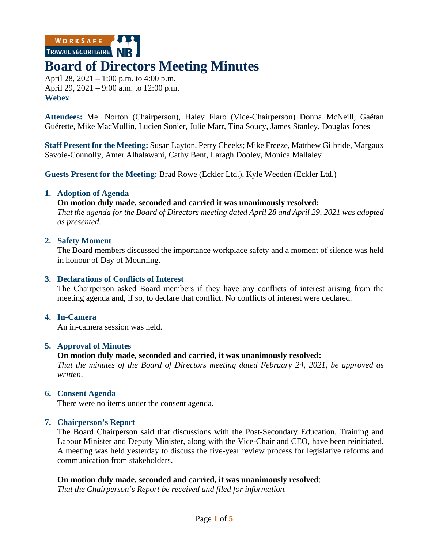WORKSAFE TRAVAIL SÉCURITAIRE

# **Board of Directors Meeting Minutes**

April 28, 2021 – 1:00 p.m. to 4:00 p.m. April 29, 2021 – 9:00 a.m. to 12:00 p.m. **Webex**

**Attendees:** Mel Norton (Chairperson), Haley Flaro (Vice-Chairperson) Donna McNeill, Gaëtan Guérette, Mike MacMullin, Lucien Sonier, Julie Marr, Tina Soucy, James Stanley, Douglas Jones

**Staff Present for the Meeting:** Susan Layton, Perry Cheeks; Mike Freeze, Matthew Gilbride, Margaux Savoie-Connolly, Amer Alhalawani, Cathy Bent, Laragh Dooley, Monica Mallaley

**Guests Present for the Meeting:** Brad Rowe (Eckler Ltd.), Kyle Weeden (Eckler Ltd.)

# **1. Adoption of Agenda**

**On motion duly made, seconded and carried it was unanimously resolved:** *That the agenda for the Board of Directors meeting dated April 28 and April 29, 2021 was adopted as presented*.

# **2. Safety Moment**

The Board members discussed the importance workplace safety and a moment of silence was held in honour of Day of Mourning.

# **3. Declarations of Conflicts of Interest**

The Chairperson asked Board members if they have any conflicts of interest arising from the meeting agenda and, if so, to declare that conflict. No conflicts of interest were declared.

# **4. In-Camera**

An in-camera session was held.

# **5. Approval of Minutes**

# **On motion duly made, seconded and carried, it was unanimously resolved:**

*That the minutes of the Board of Directors meeting dated February 24, 2021, be approved as written*.

# **6. Consent Agenda**

There were no items under the consent agenda.

# **7. Chairperson's Report**

The Board Chairperson said that discussions with the Post-Secondary Education, Training and Labour Minister and Deputy Minister, along with the Vice-Chair and CEO, have been reinitiated. A meeting was held yesterday to discuss the five-year review process for legislative reforms and communication from stakeholders.

# **On motion duly made, seconded and carried, it was unanimously resolved**:

*That the Chairperson's Report be received and filed for information.*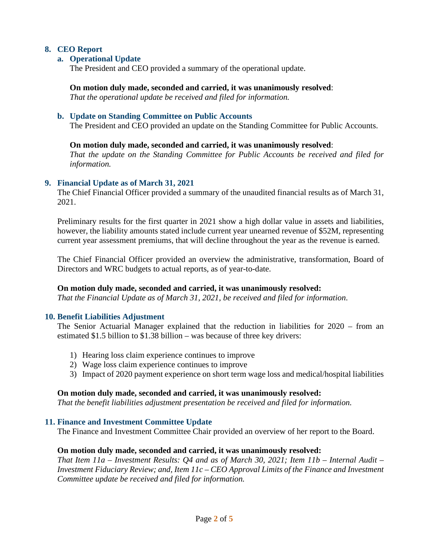# **8. CEO Report**

# **a. Operational Update**

The President and CEO provided a summary of the operational update.

**On motion duly made, seconded and carried, it was unanimously resolved**:

*That the operational update be received and filed for information.*

#### **b. Update on Standing Committee on Public Accounts**

The President and CEO provided an update on the Standing Committee for Public Accounts.

#### **On motion duly made, seconded and carried, it was unanimously resolved**:

*That the update on the Standing Committee for Public Accounts be received and filed for information.*

#### **9. Financial Update as of March 31, 2021**

The Chief Financial Officer provided a summary of the unaudited financial results as of March 31, 2021.

Preliminary results for the first quarter in 2021 show a high dollar value in assets and liabilities, however, the liability amounts stated include current year unearned revenue of \$52M, representing current year assessment premiums, that will decline throughout the year as the revenue is earned.

The Chief Financial Officer provided an overview the administrative, transformation, Board of Directors and WRC budgets to actual reports, as of year-to-date.

# **On motion duly made, seconded and carried, it was unanimously resolved:**

*That the Financial Update as of March 31, 2021, be received and filed for information*.

# **10. Benefit Liabilities Adjustment**

The Senior Actuarial Manager explained that the reduction in liabilities for 2020 – from an estimated \$1.5 billion to \$1.38 billion – was because of three key drivers:

- 1) Hearing loss claim experience continues to improve
- 2) Wage loss claim experience continues to improve
- 3) Impact of 2020 payment experience on short term wage loss and medical/hospital liabilities

#### **On motion duly made, seconded and carried, it was unanimously resolved:**

*That the benefit liabilities adjustment presentation be received and filed for information.* 

#### **11. Finance and Investment Committee Update**

The Finance and Investment Committee Chair provided an overview of her report to the Board.

#### **On motion duly made, seconded and carried, it was unanimously resolved:**

*That Item 11a – Investment Results: Q4 and as of March 30, 2021; Item 11b – Internal Audit – Investment Fiduciary Review; and, Item 11c – CEO Approval Limits of the Finance and Investment Committee update be received and filed for information.*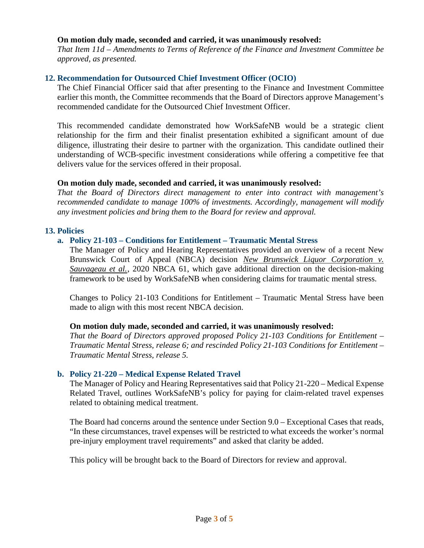# **On motion duly made, seconded and carried, it was unanimously resolved:**

*That Item 11d – Amendments to Terms of Reference of the Finance and Investment Committee be approved, as presented.*

# **12. Recommendation for Outsourced Chief Investment Officer (OCIO)**

The Chief Financial Officer said that after presenting to the Finance and Investment Committee earlier this month, the Committee recommends that the Board of Directors approve Management's recommended candidate for the Outsourced Chief Investment Officer.

This recommended candidate demonstrated how WorkSafeNB would be a strategic client relationship for the firm and their finalist presentation exhibited a significant amount of due diligence, illustrating their desire to partner with the organization. This candidate outlined their understanding of WCB-specific investment considerations while offering a competitive fee that delivers value for the services offered in their proposal.

#### **On motion duly made, seconded and carried, it was unanimously resolved:**

*That the Board of Directors direct management to enter into contract with management's recommended candidate to manage 100% of investments. Accordingly, management will modify any investment policies and bring them to the Board for review and approval.*

#### **13. Policies**

# **a. Policy 21-103 – Conditions for Entitlement – Traumatic Mental Stress**

The Manager of Policy and Hearing Representatives provided an overview of a recent New Brunswick Court of Appeal (NBCA) decision New Brunswick Liquor Corporation v. *Sauvageau et al.*, 2020 NBCA 61, which gave additional direction on the decision-making framework to be used by WorkSafeNB when considering claims for traumatic mental stress.

Changes to Policy 21-103 Conditions for Entitlement – Traumatic Mental Stress have been made to align with this most recent NBCA decision.

#### **On motion duly made, seconded and carried, it was unanimously resolved:**

*That the Board of Directors approved proposed Policy 21-103 Conditions for Entitlement – Traumatic Mental Stress, release 6; and rescinded Policy 21-103 Conditions for Entitlement – Traumatic Mental Stress, release 5.*

#### **b. Policy 21-220 – Medical Expense Related Travel**

The Manager of Policy and Hearing Representatives said that Policy 21-220 – Medical Expense Related Travel, outlines WorkSafeNB's policy for paying for claim-related travel expenses related to obtaining medical treatment.

The Board had concerns around the sentence under Section 9.0 – Exceptional Cases that reads, "In these circumstances, travel expenses will be restricted to what exceeds the worker's normal pre-injury employment travel requirements" and asked that clarity be added.

This policy will be brought back to the Board of Directors for review and approval.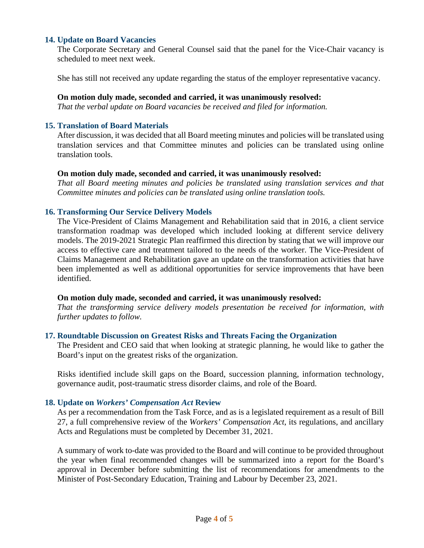# **14. Update on Board Vacancies**

The Corporate Secretary and General Counsel said that the panel for the Vice-Chair vacancy is scheduled to meet next week.

She has still not received any update regarding the status of the employer representative vacancy.

#### **On motion duly made, seconded and carried, it was unanimously resolved:**

*That the verbal update on Board vacancies be received and filed for information.*

# **15. Translation of Board Materials**

After discussion, it was decided that all Board meeting minutes and policies will be translated using translation services and that Committee minutes and policies can be translated using online translation tools.

#### **On motion duly made, seconded and carried, it was unanimously resolved:**

*That all Board meeting minutes and policies be translated using translation services and that Committee minutes and policies can be translated using online translation tools.*

#### **16. Transforming Our Service Delivery Models**

The Vice-President of Claims Management and Rehabilitation said that in 2016, a client service transformation roadmap was developed which included looking at different service delivery models. The 2019-2021 Strategic Plan reaffirmed this direction by stating that we will improve our access to effective care and treatment tailored to the needs of the worker. The Vice-President of Claims Management and Rehabilitation gave an update on the transformation activities that have been implemented as well as additional opportunities for service improvements that have been identified.

#### **On motion duly made, seconded and carried, it was unanimously resolved:**

*That the transforming service delivery models presentation be received for information, with further updates to follow.*

# **17. Roundtable Discussion on Greatest Risks and Threats Facing the Organization**

The President and CEO said that when looking at strategic planning, he would like to gather the Board's input on the greatest risks of the organization.

Risks identified include skill gaps on the Board, succession planning, information technology, governance audit, post-traumatic stress disorder claims, and role of the Board.

# **18. Update on** *Workers' Compensation Act* **Review**

As per a recommendation from the Task Force, and as is a legislated requirement as a result of Bill 27, a full comprehensive review of the *Workers' Compensation Act*, its regulations, and ancillary Acts and Regulations must be completed by December 31, 2021.

A summary of work to-date was provided to the Board and will continue to be provided throughout the year when final recommended changes will be summarized into a report for the Board's approval in December before submitting the list of recommendations for amendments to the Minister of Post-Secondary Education, Training and Labour by December 23, 2021.